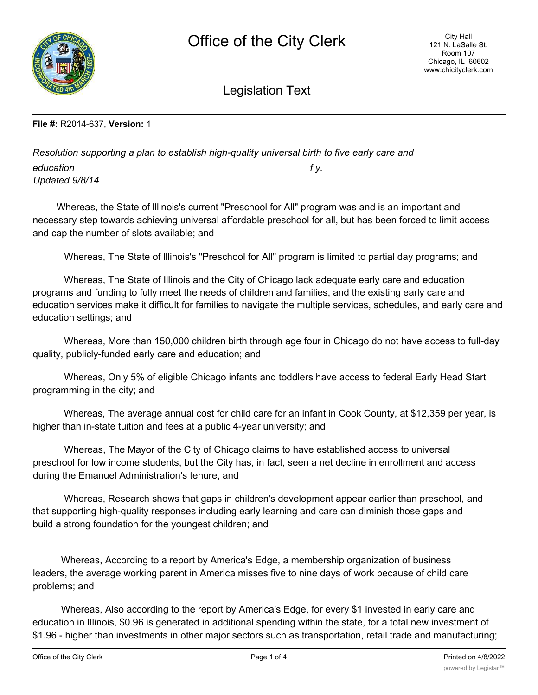

Legislation Text

## **File #:** R2014-637, **Version:** 1

*Resolution supporting a plan to establish high-quality universal birth to five early care and education f y. Updated 9/8/14*

Whereas, the State of lllinois's current "Preschool for All" program was and is an important and necessary step towards achieving universal affordable preschool for all, but has been forced to limit access and cap the number of slots available; and

Whereas, The State of lllinois's "Preschool for All" program is limited to partial day programs; and

Whereas, The State of Illinois and the City of Chicago lack adequate early care and education programs and funding to fully meet the needs of children and families, and the existing early care and education services make it difficult for families to navigate the multiple services, schedules, and early care and education settings; and

Whereas, More than 150,000 children birth through age four in Chicago do not have access to full-day quality, publicly-funded early care and education; and

Whereas, Only 5% of eligible Chicago infants and toddlers have access to federal Early Head Start programming in the city; and

Whereas, The average annual cost for child care for an infant in Cook County, at \$12,359 per year, is higher than in-state tuition and fees at a public 4-year university; and

Whereas, The Mayor of the City of Chicago claims to have established access to universal preschool for low income students, but the City has, in fact, seen a net decline in enrollment and access during the Emanuel Administration's tenure, and

Whereas, Research shows that gaps in children's development appear earlier than preschool, and that supporting high-quality responses including early learning and care can diminish those gaps and build a strong foundation for the youngest children; and

Whereas, According to a report by America's Edge, a membership organization of business leaders, the average working parent in America misses five to nine days of work because of child care problems; and

Whereas, Also according to the report by America's Edge, for every \$1 invested in early care and education in Illinois, \$0.96 is generated in additional spending within the state, for a total new investment of \$1.96 - higher than investments in other major sectors such as transportation, retail trade and manufacturing;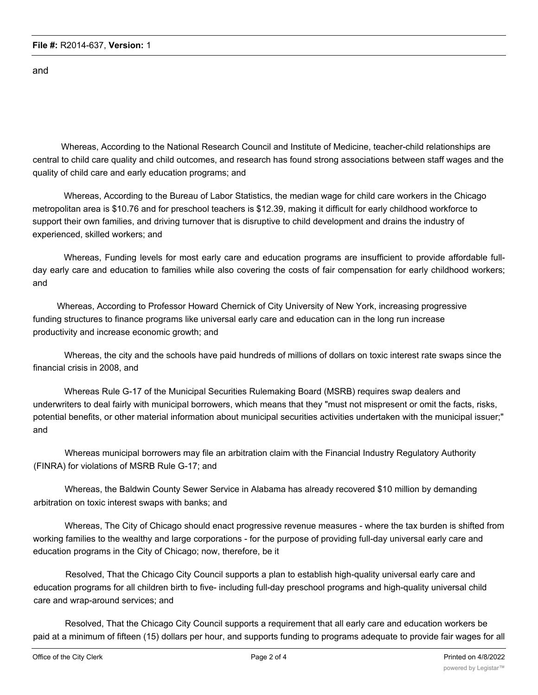and

Whereas, According to the National Research Council and Institute of Medicine, teacher-child relationships are central to child care quality and child outcomes, and research has found strong associations between staff wages and the quality of child care and early education programs; and

Whereas, According to the Bureau of Labor Statistics, the median wage for child care workers in the Chicago metropolitan area is \$10.76 and for preschool teachers is \$12.39, making it difficult for early childhood workforce to support their own families, and driving turnover that is disruptive to child development and drains the industry of experienced, skilled workers; and

Whereas, Funding levels for most early care and education programs are insufficient to provide affordable fullday early care and education to families while also covering the costs of fair compensation for early childhood workers; and

Whereas, According to Professor Howard Chernick of City University of New York, increasing progressive funding structures to finance programs like universal early care and education can in the long run increase productivity and increase economic growth; and

Whereas, the city and the schools have paid hundreds of millions of dollars on toxic interest rate swaps since the financial crisis in 2008, and

Whereas Rule G-17 of the Municipal Securities Rulemaking Board (MSRB) requires swap dealers and underwriters to deal fairly with municipal borrowers, which means that they "must not mispresent or omit the facts, risks, potential benefits, or other material information about municipal securities activities undertaken with the municipal issuer;" and

Whereas municipal borrowers may file an arbitration claim with the Financial Industry Regulatory Authority (FINRA) for violations of MSRB Rule G-17; and

Whereas, the Baldwin County Sewer Service in Alabama has already recovered \$10 million by demanding arbitration on toxic interest swaps with banks; and

Whereas, The City of Chicago should enact progressive revenue measures - where the tax burden is shifted from working families to the wealthy and large corporations - for the purpose of providing full-day universal early care and education programs in the City of Chicago; now, therefore, be it

Resolved, That the Chicago City Council supports a plan to establish high-quality universal early care and education programs for all children birth to five- including full-day preschool programs and high-quality universal child care and wrap-around services; and

Resolved, That the Chicago City Council supports a requirement that all early care and education workers be paid at a minimum of fifteen (15) dollars per hour, and supports funding to programs adequate to provide fair wages for all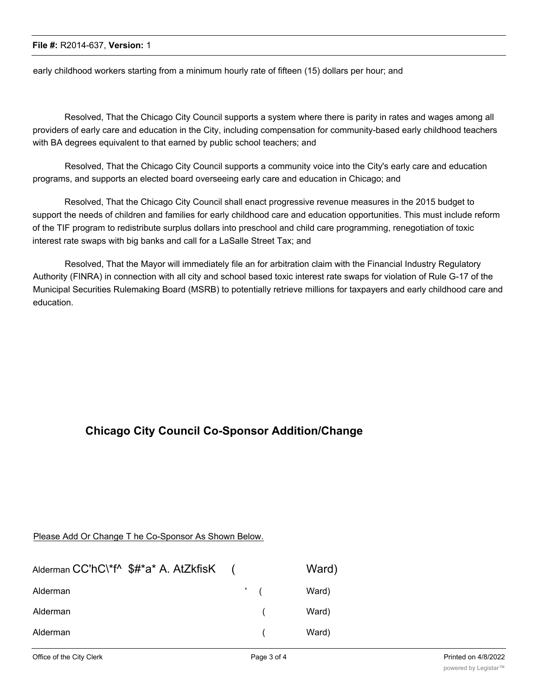## **File #:** R2014-637, **Version:** 1

early childhood workers starting from a minimum hourly rate of fifteen (15) dollars per hour; and

Resolved, That the Chicago City Council supports a system where there is parity in rates and wages among all providers of early care and education in the City, including compensation for community-based early childhood teachers with BA degrees equivalent to that earned by public school teachers; and

Resolved, That the Chicago City Council supports a community voice into the City's early care and education programs, and supports an elected board overseeing early care and education in Chicago; and

Resolved, That the Chicago City Council shall enact progressive revenue measures in the 2015 budget to support the needs of children and families for early childhood care and education opportunities. This must include reform of the TIF program to redistribute surplus dollars into preschool and child care programming, renegotiation of toxic interest rate swaps with big banks and call for a LaSalle Street Tax; and

Resolved, That the Mayor will immediately file an for arbitration claim with the Financial Industry Regulatory Authority (FINRA) in connection with all city and school based toxic interest rate swaps for violation of Rule G-17 of the Municipal Securities Rulemaking Board (MSRB) to potentially retrieve millions for taxpayers and early childhood care and education.

## **Chicago City Council Co-Sponsor Addition/Change**

## Please Add Or Change T he Co-Sponsor As Shown Below.

| Alderman CC'hC\*f^ \$#*a* A. AtZkfisK ( |                 | Ward) |
|-----------------------------------------|-----------------|-------|
| Alderman                                | $\mathcal{L}$ ( | Ward) |
| Alderman                                |                 | Ward) |
| Alderman                                |                 | Ward) |